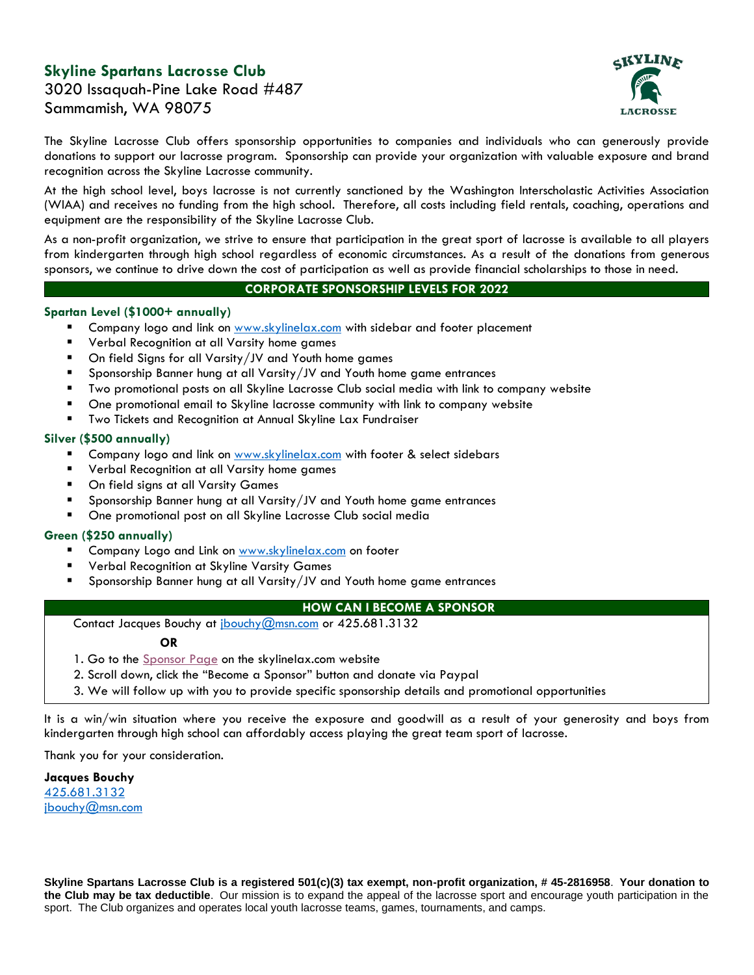# **Skyline Spartans Lacrosse Club**

c KYLIN

3020 Issaquah-Pine Lake Road #487 Sammamish, WA 98075

The Skyline Lacrosse Club offers sponsorship opportunities to companies and individuals who can generously provide donations to support our lacrosse program. Sponsorship can provide your organization with valuable exposure and brand recognition across the Skyline Lacrosse community.

At the high school level, boys lacrosse is not currently sanctioned by the Washington Interscholastic Activities Association (WIAA) and receives no funding from the high school. Therefore, all costs including field rentals, coaching, operations and equipment are the responsibility of the Skyline Lacrosse Club.

As a non-profit organization, we strive to ensure that participation in the great sport of lacrosse is available to all players from kindergarten through high school regardless of economic circumstances. As a result of the donations from generous sponsors, we continue to drive down the cost of participation as well as provide financial scholarships to those in need.

## **CORPORATE SPONSORSHIP LEVELS FOR 2022**

### **Spartan Level (\$1000+ annually)**

- Company logo and link on [www.skylinelax.com](http://www.skylinelax.com/) with sidebar and footer placement
- Verbal Recognition at all Varsity home games
- On field Signs for all Varsity/JV and Youth home games
- Sponsorship Banner hung at all Varsity/JV and Youth home game entrances
- Two promotional posts on all Skyline Lacrosse Club social media with link to company website
- One promotional email to Skyline lacrosse community with link to company website
- Two Tickets and Recognition at Annual Skyline Lax Fundraiser

### **Silver (\$500 annually)**

- Company logo and link on [www.skylinelax.com](http://www.skylinelax.com/) with footer & select sidebars
- Verbal Recognition at all Varsity home games
- On field signs at all Varsity Games
- Sponsorship Banner hung at all Varsity/JV and Youth home game entrances
- One promotional post on all Skyline Lacrosse Club social media

## **Green (\$250 annually)**

- Company Logo and Link on [www.skylinelax.com](http://www.skylinelax.com/) on footer
- Verbal Recognition at Skyline Varsity Games
- Sponsorship Banner hung at all Varsity/JV and Youth home game entrances

#### **HOW CAN I BECOME A SPONSOR**

Contact Jacques Bouchy at [jbouchy@msn.com](mailto:jbouchy@msn.com) or 425.681.3132

#### **OR**

- 1. Go to the [Sponsor](https://skylinelax.com/sponsor/) Page on the skylinelax.com website
- 2. Scroll down, click the "Become a Sponsor" button and donate via Paypal
- 3. We will follow up with you to provide specific sponsorship details and promotional opportunities

It is a win/win situation where you receive the exposure and goodwill as a result of your generosity and boys from kindergarten through high school can affordably access playing the great team sport of lacrosse.

Thank you for your consideration.

**Jacques Bouchy** [425.681.3132](mailto:425.681.3132) [jbouchy@msn.com](mailto:jbouchy@msn.com)

**Skyline Spartans Lacrosse Club is a registered 501(c)(3) tax exempt, non-profit organization, # 45-2816958**. **Your donation to the Club may be tax deductible**. Our mission is to expand the appeal of the lacrosse sport and encourage youth participation in the sport. The Club organizes and operates local youth lacrosse teams, games, tournaments, and camps.